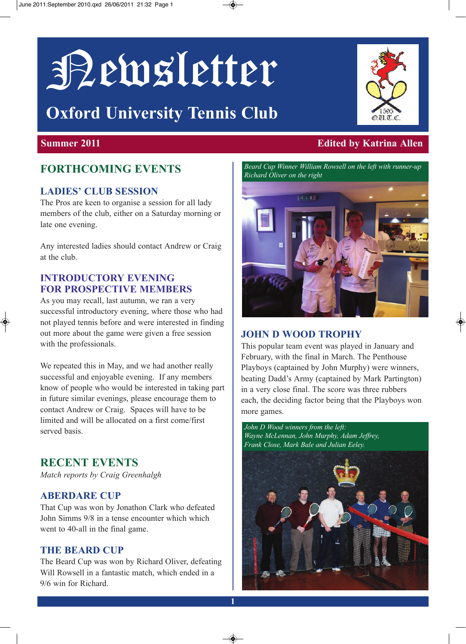# Newsletter

## **Oxford University Tennis Club**

### **FOrThCOming EvEnTS**

#### **LADiES' CLUB SESSiOn**

The Pros are keen to organise a session for all lady members of the club, either on a Saturday morning or late one evening.

Any interested ladies should contact Andrew or Craig at the club.

#### **inTrODUCTOry EvEning FOr PrOSPECTivE mEmBErS**

As you may recall, last autumn, we ran a very successful introductory evening, where those who had not played tennis before and were interested in finding out more about the game were given a free session with the professionals.

We repeated this in May, and we had another really successful and enjoyable evening. If any members know of people who would be interested in taking part in future similar evenings, please encourage them to contact Andrew or Craig. Spaces will have to be limited and will be allocated on a first come/first served basis.

#### **rECEnT EvEnTS**

*Match reports by Craig Greenhalgh*

#### **ABErDArE CUP**

That Cup was won by Jonathon Clark who defeated John Simms 9/8 in a tense encounter which which went to 40-all in the final game.

#### **ThE BEArD CUP**

The Beard Cup was won by Richard Oliver, defeating Will Rowsell in a fantastic match, which ended in a 9/6 win for Richard.

#### **Summer 2011 Edited by Katrina Allen**

*Beard Cup Winner William Rowsell on the left with runner-up Richard Oliver on the right*

#### **JOhn D WOOD TrOPhy**

This popular team event was played in January and February, with the final in March. The Penthouse Playboys (captained by John Murphy) were winners, beating Dadd's Army (captained by Mark Partington) in a very close final. The score was three rubbers each, the deciding factor being that the Playboys won more games.

*John D Wood winners from the left: Wayne McLennan, John Murphy, Adam Jeffrey, Frank Close, Mark Bale and Julian Eeley.*



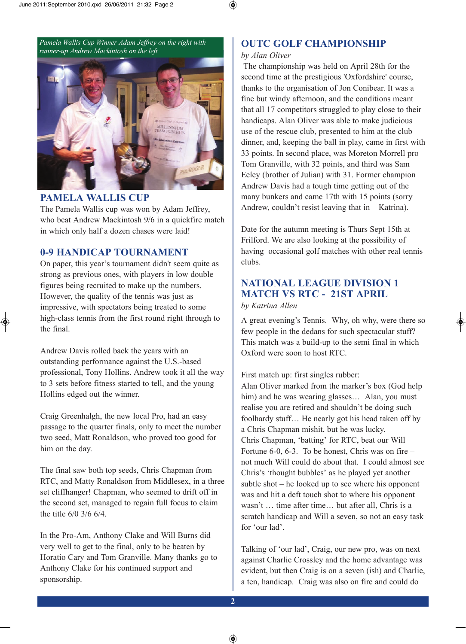*Pamela Wallis Cup Winner Adam Jeffrey on the right with runner-up Andrew Mackintosh on the left*



#### **PAmELA WALLiS CUP**

The Pamela Wallis cup was won by Adam Jeffrey, who beat Andrew Mackintosh 9/6 in a quickfire match in which only half a dozen chases were laid!

#### **0-9 hAnDiCAP TOUrnAmEnT**

On paper, this year's tournament didn't seem quite as strong as previous ones, with players in low double figures being recruited to make up the numbers. However, the quality of the tennis was just as impressive, with spectators being treated to some high-class tennis from the first round right through to the final.

Andrew Davis rolled back the years with an outstanding performance against the U.S.-based professional, Tony Hollins. Andrew took it all the way to 3 sets before fitness started to tell, and the young Hollins edged out the winner.

Craig Greenhalgh, the new local Pro, had an easy passage to the quarter finals, only to meet the number two seed, Matt Ronaldson, who proved too good for him on the day.

The final saw both top seeds, Chris Chapman from RTC, and Matty Ronaldson from Middlesex, in a three set cliffhanger! Chapman, who seemed to drift off in the second set, managed to regain full focus to claim the title 6/0 3/6 6/4.

In the Pro-Am, Anthony Clake and Will Burns did very well to get to the final, only to be beaten by Horatio Cary and Tom Granville. Many thanks go to Anthony Clake for his continued support and sponsorship.

#### **OUTC GOLF CHAMPIONSHIP**

#### *by Alan Oliver*

The championship was held on April 28th for the second time at the prestigious 'Oxfordshire' course, thanks to the organisation of Jon Conibear. It was a fine but windy afternoon, and the conditions meant that all 17 competitors struggled to play close to their handicaps. Alan Oliver was able to make judicious use of the rescue club, presented to him at the club dinner, and, keeping the ball in play, came in first with 33 points. In second place, was Moreton Morrell pro Tom Granville, with 32 points, and third was Sam Eeley (brother of Julian) with 31. Former champion Andrew Davis had a tough time getting out of the many bunkers and came 17th with 15 points (sorry Andrew, couldn't resist leaving that in – Katrina).

Date for the autumn meeting is Thurs Sept 15th at Frilford. We are also looking at the possibility of having occasional golf matches with other real tennis clubs.

#### **nATiOnAL LEAgUE DiviSiOn 1 mATCh vS rTC - 21ST APriL**

#### *by Katrina Allen*

A great evening's Tennis. Why, oh why, were there so few people in the dedans for such spectacular stuff? This match was a build-up to the semi final in which Oxford were soon to host RTC.

First match up: first singles rubber:

Alan Oliver marked from the marker's box (God help him) and he was wearing glasses... Alan, you must realise you are retired and shouldn't be doing such foolhardy stuff… He nearly got his head taken off by a Chris Chapman mishit, but he was lucky. Chris Chapman, 'batting' for RTC, beat our Will Fortune 6-0, 6-3. To be honest, Chris was on fire  $$ not much Will could do about that. I could almost see Chris's 'thought bubbles' as he played yet another subtle shot – he looked up to see where his opponent was and hit a deft touch shot to where his opponent wasn't … time after time… but after all, Chris is a scratch handicap and Will a seven, so not an easy task for 'our lad'.

Talking of 'our lad', Craig, our new pro, was on next against Charlie Crossley and the home advantage was evident, but then Craig is on a seven (ish) and Charlie, a ten, handicap. Craig was also on fire and could do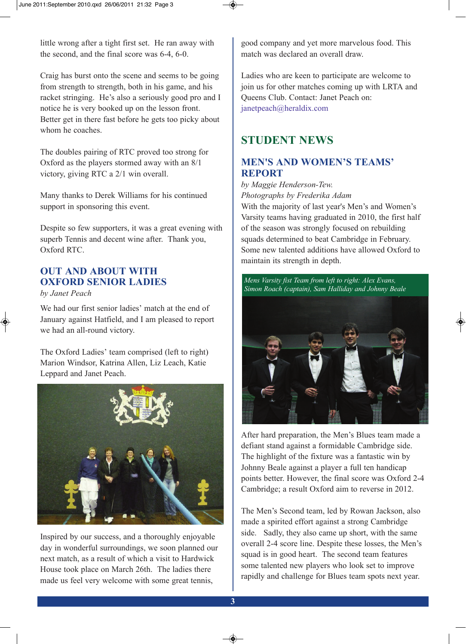little wrong after a tight first set. He ran away with the second, and the final score was 6-4, 6-0.

Craig has burst onto the scene and seems to be going from strength to strength, both in his game, and his racket stringing. He's also a seriously good pro and I notice he is very booked up on the lesson front. Better get in there fast before he gets too picky about whom he coaches.

The doubles pairing of RTC proved too strong for Oxford as the players stormed away with an 8/1 victory, giving RTC a 2/1 win overall.

Many thanks to Derek Williams for his continued support in sponsoring this event.

Despite so few supporters, it was a great evening with superb Tennis and decent wine after. Thank you, Oxford RTC.

#### **OUT AnD ABOUT WiTh OXFOrD SEniOr LADiES**

*by Janet Peach*

We had our first senior ladies' match at the end of January against Hatfield, and I am pleased to report we had an all-round victory.

The Oxford Ladies' team comprised (left to right) Marion Windsor, Katrina Allen, Liz Leach, Katie Leppard and Janet Peach.



Inspired by our success, and a thoroughly enjoyable day in wonderful surroundings, we soon planned our next match, as a result of which a visit to Hardwick House took place on March 26th. The ladies there made us feel very welcome with some great tennis,

good company and yet more marvelous food. This match was declared an overall draw.

Ladies who are keen to participate are welcome to join us for other matches coming up with LRTA and Queens Club. Contact: Janet Peach on: janetpeach@heraldix.com

#### **STUDEnT nEWS**

#### **mEn'S AnD WOmEn'S TEAmS' rEPOrT**

*by Maggie Henderson-Tew. Photographs by Frederika Adam*

With the majority of last year's Men's and Women's Varsity teams having graduated in 2010, the first half of the season was strongly focused on rebuilding squads determined to beat Cambridge in February. Some new talented additions have allowed Oxford to maintain its strength in depth.



After hard preparation, the Men's Blues team made a defiant stand against a formidable Cambridge side. The highlight of the fixture was a fantastic win by Johnny Beale against a player a full ten handicap points better. However, the final score was Oxford 2-4 Cambridge; a result Oxford aim to reverse in 2012.

The Men's Second team, led by Rowan Jackson, also made a spirited effort against a strong Cambridge side. Sadly, they also came up short, with the same overall 2-4 score line. Despite these losses, the Men's squad is in good heart. The second team features some talented new players who look set to improve rapidly and challenge for Blues team spots next year.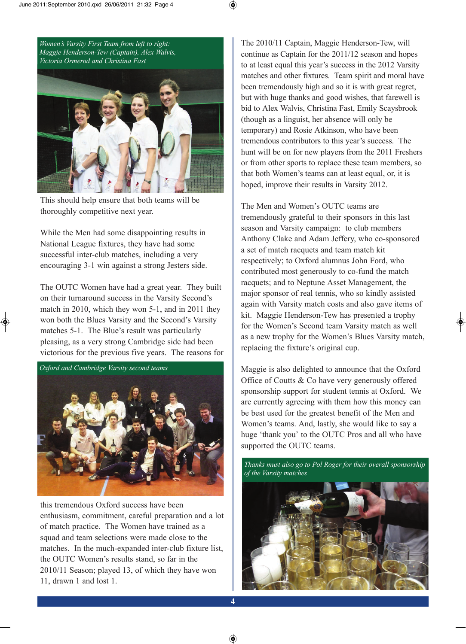*Women's Varsity First Team from left to right: Maggie Henderson-Tew (Captain), Alex Walvis, Victoria Ormerod and Christina Fast*



This should help ensure that both teams will be thoroughly competitive next year.

While the Men had some disappointing results in National League fixtures, they have had some successful inter-club matches, including a very encouraging 3-1 win against a strong Jesters side.

The OUTC Women have had a great year. They built on their turnaround success in the Varsity Second's match in 2010, which they won 5-1, and in 2011 they won both the Blues Varsity and the Second's Varsity matches 5-1. The Blue's result was particularly pleasing, as a very strong Cambridge side had been victorious for the previous five years. The reasons for



this tremendous Oxford success have been enthusiasm, commitment, careful preparation and a lot of match practice. The Women have trained as a squad and team selections were made close to the matches. In the much-expanded inter-club fixture list, the OUTC Women's results stand, so far in the 2010/11 Season; played 13, of which they have won 11, drawn 1 and lost 1.

The 2010/11 Captain, Maggie Henderson-Tew, will continue as Captain for the 2011/12 season and hopes to at least equal this year's success in the 2012 Varsity matches and other fixtures. Team spirit and moral have been tremendously high and so it is with great regret, but with huge thanks and good wishes, that farewell is bid to Alex Walvis, Christina Fast, Emily Scaysbrook (though as a linguist, her absence will only be temporary) and Rosie Atkinson, who have been tremendous contributors to this year's success. The hunt will be on for new players from the 2011 Freshers or from other sports to replace these team members, so that both Women's teams can at least equal, or, it is hoped, improve their results in Varsity 2012.

The Men and Women's OUTC teams are tremendously grateful to their sponsors in this last season and Varsity campaign: to club members Anthony Clake and Adam Jeffery, who co-sponsored a set of match racquets and team match kit respectively; to Oxford alumnus John Ford, who contributed most generously to co-fund the match racquets; and to Neptune Asset Management, the major sponsor of real tennis, who so kindly assisted again with Varsity match costs and also gave items of kit. Maggie Henderson-Tew has presented a trophy for the Women's Second team Varsity match as well as a new trophy for the Women's Blues Varsity match, replacing the fixture's original cup.

Maggie is also delighted to announce that the Oxford Office of Coutts & Co have very generously offered sponsorship support for student tennis at Oxford. We are currently agreeing with them how this money can be best used for the greatest benefit of the Men and Women's teams. And, lastly, she would like to say a huge 'thank you' to the OUTC Pros and all who have supported the OUTC teams.

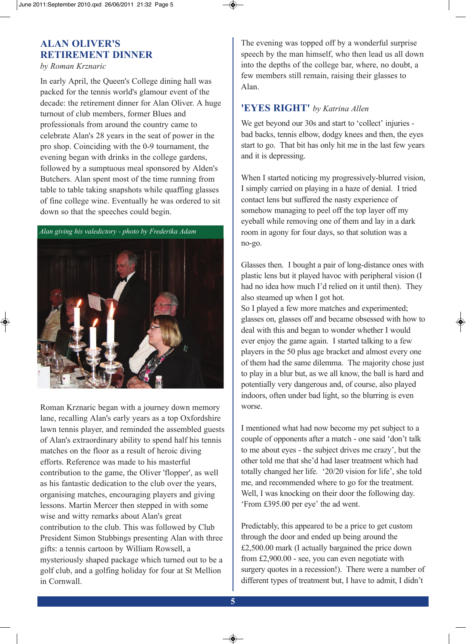#### **ALAn OLivEr'S rETirEmEnT DinnEr**

*by Roman Krznaric*

In early April, the Queen's College dining hall was packed for the tennis world's glamour event of the decade: the retirement dinner for Alan Oliver. A huge turnout of club members, former Blues and professionals from around the country came to celebrate Alan's 28 years in the seat of power in the pro shop. Coinciding with the 0-9 tournament, the evening began with drinks in the college gardens, followed by a sumptuous meal sponsored by Alden's Butchers. Alan spent most of the time running from table to table taking snapshots while quaffing glasses of fine college wine. Eventually he was ordered to sit down so that the speeches could begin.



Roman Krznaric began with a journey down memory lane, recalling Alan's early years as a top Oxfordshire lawn tennis player, and reminded the assembled guests of Alan's extraordinary ability to spend half his tennis matches on the floor as a result of heroic diving efforts. Reference was made to his masterful contribution to the game, the Oliver 'flopper', as well as his fantastic dedication to the club over the years, organising matches, encouraging players and giving lessons. Martin Mercer then stepped in with some wise and witty remarks about Alan's great contribution to the club. This was followed by Club President Simon Stubbings presenting Alan with three gifts: a tennis cartoon by William Rowsell, a mysteriously shaped package which turned out to be a golf club, and a golfing holiday for four at St Mellion in Cornwall.

The evening was topped off by a wonderful surprise speech by the man himself, who then lead us all down into the depths of the college bar, where, no doubt, a few members still remain, raising their glasses to Alan.

#### **'EyES righT'** *by Katrina Allen*

We get beyond our 30s and start to 'collect' injuries bad backs, tennis elbow, dodgy knees and then, the eyes start to go. That bit has only hit me in the last few years and it is depressing.

When I started noticing my progressively-blurred vision, I simply carried on playing in a haze of denial. I tried contact lens but suffered the nasty experience of somehow managing to peel off the top layer off my eyeball while removing one of them and lay in a dark room in agony for four days, so that solution was a no-go.

Glasses then. I bought a pair of long-distance ones with plastic lens but it played havoc with peripheral vision (I had no idea how much I'd relied on it until then). They also steamed up when I got hot.

So I played a few more matches and experimented; glasses on, glasses off and became obsessed with how to deal with this and began to wonder whether I would ever enjoy the game again. I started talking to a few players in the 50 plus age bracket and almost every one of them had the same dilemma. The majority chose just to play in a blur but, as we all know, the ball is hard and potentially very dangerous and, of course, also played indoors, often under bad light, so the blurring is even worse.

I mentioned what had now become my pet subject to a couple of opponents after a match - one said 'don't talk to me about eyes - the subject drives me crazy', but the other told me that she'd had laser treatment which had totally changed her life. '20/20 vision for life', she told me, and recommended where to go for the treatment. Well, I was knocking on their door the following day. 'From £395.00 per eye' the ad went.

Predictably, this appeared to be a price to get custom through the door and ended up being around the £2,500.00 mark (I actually bargained the price down from £2,900.00 - see, you can even negotiate with surgery quotes in a recession!). There were a number of different types of treatment but, I have to admit, I didn't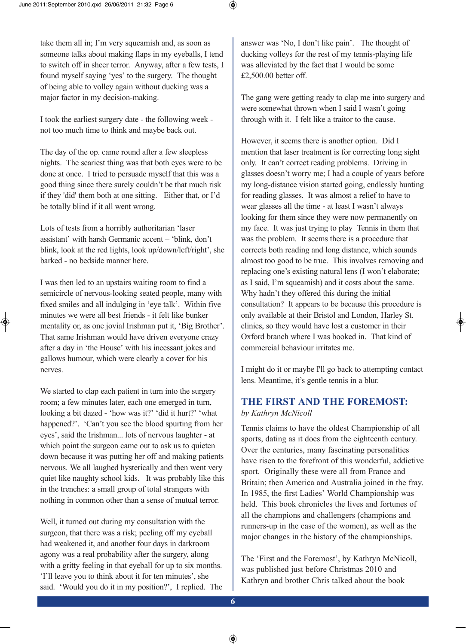take them all in; I'm very squeamish and, as soon as someone talks about making flaps in my eyeballs, I tend to switch off in sheer terror. Anyway, after a few tests, I found myself saying 'yes' to the surgery. The thought of being able to volley again without ducking was a major factor in my decision-making.

I took the earliest surgery date - the following week not too much time to think and maybe back out.

The day of the op. came round after a few sleepless nights. The scariest thing was that both eyes were to be done at once. I tried to persuade myself that this was a good thing since there surely couldn't be that much risk if they 'did' them both at one sitting. Either that, or I'd be totally blind if it all went wrong.

Lots of tests from a horribly authoritarian 'laser assistant' with harsh Germanic accent – 'blink, don't blink, look at the red lights, look up/down/left/right', she barked - no bedside manner here.

I was then led to an upstairs waiting room to find a semicircle of nervous-looking seated people, many with fixed smiles and all indulging in 'eye talk'. Within five minutes we were all best friends - it felt like bunker mentality or, as one jovial Irishman put it, 'Big Brother'. That same Irishman would have driven everyone crazy after a day in 'the House' with his incessant jokes and gallows humour, which were clearly a cover for his nerves.

We started to clap each patient in turn into the surgery room; a few minutes later, each one emerged in turn, looking a bit dazed - 'how was it?' 'did it hurt?' 'what happened?'. 'Can't you see the blood spurting from her eyes', said the Irishman... lots of nervous laughter - at which point the surgeon came out to ask us to quieten down because it was putting her off and making patients nervous. We all laughed hysterically and then went very quiet like naughty school kids. It was probably like this in the trenches: a small group of total strangers with nothing in common other than a sense of mutual terror.

Well, it turned out during my consultation with the surgeon, that there was a risk; peeling off my eyeball had weakened it, and another four days in darkroom agony was a real probability after the surgery, along with a gritty feeling in that eyeball for up to six months. 'I'll leave you to think about it for ten minutes', she said. 'Would you do it in my position?', I replied. The answer was 'No, I don't like pain'. The thought of ducking volleys for the rest of my tennis-playing life was alleviated by the fact that I would be some £2,500.00 better off.

The gang were getting ready to clap me into surgery and were somewhat thrown when I said I wasn't going through with it. I felt like a traitor to the cause.

However, it seems there is another option. Did I mention that laser treatment is for correcting long sight only. It can't correct reading problems. Driving in glasses doesn't worry me; I had a couple of years before my long-distance vision started going, endlessly hunting for reading glasses. It was almost a relief to have to wear glasses all the time - at least I wasn't always looking for them since they were now permanently on my face. It was just trying to play Tennis in them that was the problem. It seems there is a procedure that corrects both reading and long distance, which sounds almost too good to be true. This involves removing and replacing one's existing natural lens (I won't elaborate; as I said, I'm squeamish) and it costs about the same. Why hadn't they offered this during the initial consultation? It appears to be because this procedure is only available at their Bristol and London, Harley St. clinics, so they would have lost a customer in their Oxford branch where I was booked in. That kind of commercial behaviour irritates me.

I might do it or maybe I'll go back to attempting contact lens. Meantime, it's gentle tennis in a blur.

#### **ThE FirST AnD ThE FOrEmOST:**  *by Kathryn McNicoll*

Tennis claims to have the oldest Championship of all sports, dating as it does from the eighteenth century. Over the centuries, many fascinating personalities have risen to the forefront of this wonderful, addictive sport. Originally these were all from France and Britain; then America and Australia joined in the fray. In 1985, the first Ladies' World Championship was held. This book chronicles the lives and fortunes of all the champions and challengers (champions and runners-up in the case of the women), as well as the major changes in the history of the championships.

The 'First and the Foremost', by Kathryn McNicoll, was published just before Christmas 2010 and Kathryn and brother Chris talked about the book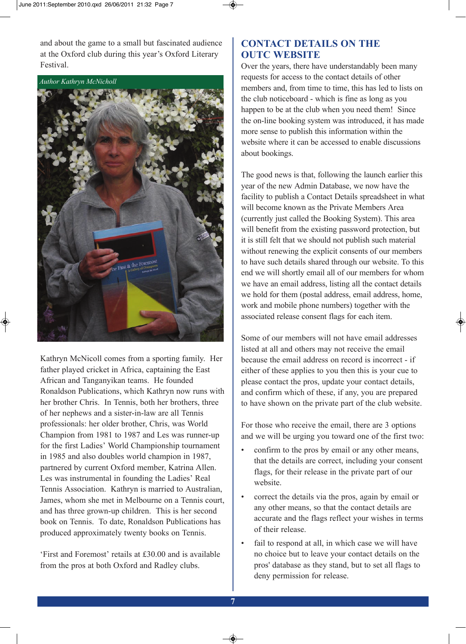and about the game to a small but fascinated audience at the Oxford club during this year's Oxford Literary Festival.

*Author Kathryn McNicholl*



Kathryn McNicoll comes from a sporting family. Her father played cricket in Africa, captaining the East African and Tanganyikan teams. He founded Ronaldson Publications, which Kathryn now runs with her brother Chris. In Tennis, both her brothers, three of her nephews and a sister-in-law are all Tennis professionals: her older brother, Chris, was World Champion from 1981 to 1987 and Les was runner-up for the first Ladies' World Championship tournament in 1985 and also doubles world champion in 1987, partnered by current Oxford member, Katrina Allen. Les was instrumental in founding the Ladies' Real Tennis Association. Kathryn is married to Australian, James, whom she met in Melbourne on a Tennis court, and has three grown-up children. This is her second book on Tennis. To date, Ronaldson Publications has produced approximately twenty books on Tennis.

'First and Foremost' retails at £30.00 and is available from the pros at both Oxford and Radley clubs.

#### **COnTACT DETAiLS On ThE OUTC WEBSiTE**

Over the years, there have understandably been many requests for access to the contact details of other members and, from time to time, this has led to lists on the club noticeboard - which is fine as long as you happen to be at the club when you need them! Since the on-line booking system was introduced, it has made more sense to publish this information within the website where it can be accessed to enable discussions about bookings.

The good news is that, following the launch earlier this year of the new Admin Database, we now have the facility to publish a Contact Details spreadsheet in what will become known as the Private Members Area (currently just called the Booking System). This area will benefit from the existing password protection, but it is still felt that we should not publish such material without renewing the explicit consents of our members to have such details shared through our website. To this end we will shortly email all of our members for whom we have an email address, listing all the contact details we hold for them (postal address, email address, home, work and mobile phone numbers) together with the associated release consent flags for each item.

Some of our members will not have email addresses listed at all and others may not receive the email because the email address on record is incorrect - if either of these applies to you then this is your cue to please contact the pros, update your contact details, and confirm which of these, if any, you are prepared to have shown on the private part of the club website.

For those who receive the email, there are 3 options and we will be urging you toward one of the first two:

- confirm to the pros by email or any other means, that the details are correct, including your consent flags, for their release in the private part of our website.
- correct the details via the pros, again by email or any other means, so that the contact details are accurate and the flags reflect your wishes in terms of their release.
- fail to respond at all, in which case we will have no choice but to leave your contact details on the pros' database as they stand, but to set all flags to deny permission for release.